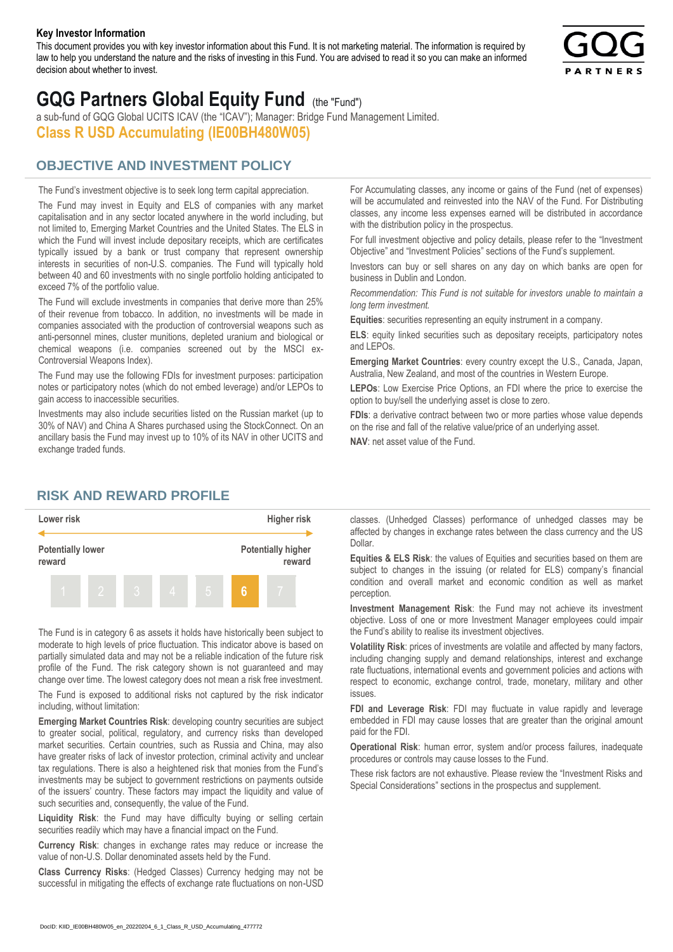#### **Key Investor Information**

This document provides you with key investor information about this Fund. It is not marketing material. The information is required by law to help you understand the nature and the risks of investing in this Fund. You are advised to read it so you can make an informed decision about whether to invest.



# **GQG Partners Global Equity Fund** (the "Fund")

a sub-fund of GQG Global UCITS ICAV (the "ICAV"); Manager: Bridge Fund Management Limited. **Class R USD Accumulating (IE00BH480W05)**

## **OBJECTIVE AND INVESTMENT POLICY**

The Fund's investment objective is to seek long term capital appreciation. The Fund may invest in Equity and ELS of companies with any market capitalisation and in any sector located anywhere in the world including, but not limited to, Emerging Market Countries and the United States. The ELS in which the Fund will invest include depositary receipts, which are certificates typically issued by a bank or trust company that represent ownership interests in securities of non-U.S. companies. The Fund will typically hold between 40 and 60 investments with no single portfolio holding anticipated to exceed 7% of the portfolio value.

The Fund will exclude investments in companies that derive more than 25% of their revenue from tobacco. In addition, no investments will be made in companies associated with the production of controversial weapons such as anti-personnel mines, cluster munitions, depleted uranium and biological or chemical weapons (i.e. companies screened out by the MSCI ex-Controversial Weapons Index).

The Fund may use the following FDIs for investment purposes: participation notes or participatory notes (which do not embed leverage) and/or LEPOs to gain access to inaccessible securities.

Investments may also include securities listed on the Russian market (up to 30% of NAV) and China A Shares purchased using the StockConnect. On an ancillary basis the Fund may invest up to 10% of its NAV in other UCITS and exchange traded funds.

For Accumulating classes, any income or gains of the Fund (net of expenses) will be accumulated and reinvested into the NAV of the Fund. For Distributing classes, any income less expenses earned will be distributed in accordance with the distribution policy in the prospectus.

For full investment objective and policy details, please refer to the "Investment Objective" and "Investment Policies" sections of the Fund's supplement.

Investors can buy or sell shares on any day on which banks are open for business in Dublin and London.

*Recommendation: This Fund is not suitable for investors unable to maintain a long term investment.*

**Equities**: securities representing an equity instrument in a company.

**ELS**: equity linked securities such as depositary receipts, participatory notes and LEPOs.

**Emerging Market Countries**: every country except the U.S., Canada, Japan, Australia, New Zealand, and most of the countries in Western Europe.

**LEPOs**: Low Exercise Price Options, an FDI where the price to exercise the option to buy/sell the underlying asset is close to zero.

**FDIs**: a derivative contract between two or more parties whose value depends on the rise and fall of the relative value/price of an underlying asset.

**NAV**: net asset value of the Fund.

### **RISK AND REWARD PROFILE**



The Fund is in category 6 as assets it holds have historically been subject to moderate to high levels of price fluctuation. This indicator above is based on partially simulated data and may not be a reliable indication of the future risk profile of the Fund. The risk category shown is not guaranteed and may change over time. The lowest category does not mean a risk free investment.

The Fund is exposed to additional risks not captured by the risk indicator including, without limitation:

**Emerging Market Countries Risk**: developing country securities are subject to greater social, political, regulatory, and currency risks than developed market securities. Certain countries, such as Russia and China, may also have greater risks of lack of investor protection, criminal activity and unclear tax regulations. There is also a heightened risk that monies from the Fund's investments may be subject to government restrictions on payments outside of the issuers' country. These factors may impact the liquidity and value of such securities and, consequently, the value of the Fund.

**Liquidity Risk**: the Fund may have difficulty buying or selling certain securities readily which may have a financial impact on the Fund.

**Currency Risk**: changes in exchange rates may reduce or increase the value of non-U.S. Dollar denominated assets held by the Fund.

**Class Currency Risks**: (Hedged Classes) Currency hedging may not be successful in mitigating the effects of exchange rate fluctuations on non-USD classes. (Unhedged Classes) performance of unhedged classes may be affected by changes in exchange rates between the class currency and the US Dollar.

**Equities & ELS Risk**: the values of Equities and securities based on them are subject to changes in the issuing (or related for ELS) company's financial condition and overall market and economic condition as well as market perception.

**Investment Management Risk**: the Fund may not achieve its investment objective. Loss of one or more Investment Manager employees could impair the Fund's ability to realise its investment objectives.

**Volatility Risk**: prices of investments are volatile and affected by many factors, including changing supply and demand relationships, interest and exchange rate fluctuations, international events and government policies and actions with respect to economic, exchange control, trade, monetary, military and other issues.

**FDI and Leverage Risk**: FDI may fluctuate in value rapidly and leverage embedded in FDI may cause losses that are greater than the original amount paid for the FDI.

**Operational Risk**: human error, system and/or process failures, inadequate procedures or controls may cause losses to the Fund.

These risk factors are not exhaustive. Please review the "Investment Risks and Special Considerations" sections in the prospectus and supplement.